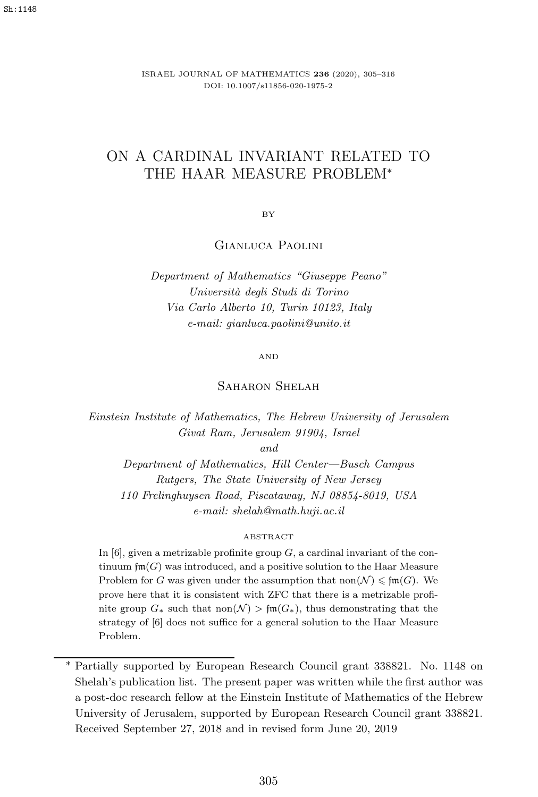ISRAEL JOURNAL OF MATHEMATICS **236** (2020), 305–316 DOI: 10.1007/s11856-020-1975-2

# ON A CARDINAL INVARIANT RELATED TO THE HAAR MEASURE PROBLEM<sup>∗</sup>

BY

## Gianluca Paolini

*Department of Mathematics "Giuseppe Peano" Universit`a degli Studi di Torino Via Carlo Alberto 10, Turin 10123, Italy e-mail: gianluca.paolini@unito.it*

AND

#### SAHARON SHELAH

*Einstein Institute of Mathematics, The Hebrew University of Jerusalem Givat Ram, Jerusalem 91904, Israel*

*and*

*Department of Mathematics, Hill Center—Busch Campus Rutgers, The State University of New Jersey 110 Frelinghuysen Road, Piscataway, NJ 08854-8019, USA e-mail: shelah@math.huji.ac.il*

#### ABSTRACT

In  $[6]$ , given a metrizable profinite group  $G$ , a cardinal invariant of the continuum  $\text{fm}(G)$  was introduced, and a positive solution to the Haar Measure Problem for *G* was given under the assumption that  $\text{non}(\mathcal{N}) \leq \text{fm}(G)$ . We prove here that it is consistent with ZFC that there is a metrizable profinite group  $G_*$  such that non $(\mathcal{N}) > \mathfrak{fm}(G_*)$ , thus demonstrating that the strategy of [6] does not suffice for a general solution to the Haar Measure Problem.

<sup>∗</sup> Partially supported by European Research Council grant 338821. No. 1148 on Shelah's publication list. The present paper was written while the first author was a post-doc research fellow at the Einstein Institute of Mathematics of the Hebrew University of Jerusalem, supported by European Research Council grant 338821. Received September 27, 2018 and in revised form June 20, 2019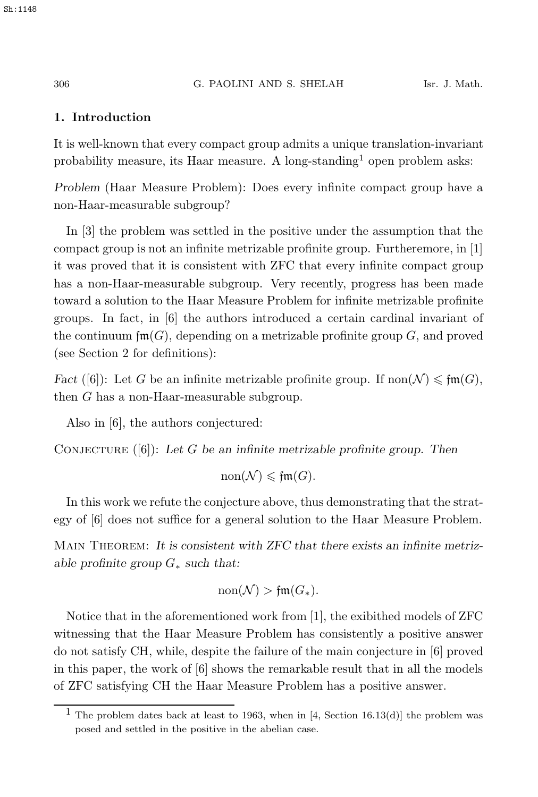#### Sh:1148

#### 306 G. PAOLINI AND S. SHELAH Isr. J. Math.

### **1. Introduction**

It is well-known that every compact group admits a unique translation-invariant probability measure, its Haar measure. A long-standing<sup>1</sup> open problem asks:

*Problem* (Haar Measure Problem): Does every infinite compact group have a non-Haar-measurable subgroup?

In [3] the problem was settled in the positive under the assumption that the compact group is not an infinite metrizable profinite group. Furtheremore, in [1] it was proved that it is consistent with ZFC that every infinite compact group has a non-Haar-measurable subgroup. Very recently, progress has been made toward a solution to the Haar Measure Problem for infinite metrizable profinite groups. In fact, in [6] the authors introduced a certain cardinal invariant of the continuum  $\text{fm}(G)$ , depending on a metrizable profinite group G, and proved (see Section 2 for definitions):

*Fact* ([6]): Let G be an infinite metrizable profinite group. If  $\text{non}(\mathcal{N}) \leq \text{fm}(G)$ , then G has a non-Heap measurable subgroup. then G has a non-Haar-measurable subgroup.

Also in [6], the authors conjectured:

CONJECTURE ([6]): Let G be an infinite metrizable profinite group. Then

 $\text{non}(\mathcal{N}) \leqslant \mathfrak{fm}(G).$ 

In this work we refute the conjecture above, thus demonstrating that the strategy of [6] does not suffice for a general solution to the Haar Measure Problem.

Main Theorem: *It is consistent with ZFC that there exists an infinite metrizable profinite group* <sup>G</sup><sup>∗</sup> *such that:*

$$
\mathrm{non}(\mathcal{N}) > \mathfrak{fm}(G_\ast).
$$

Notice that in the aforementioned work from [1], the exibithed models of ZFC witnessing that the Haar Measure Problem has consistently a positive answer do not satisfy CH, while, despite the failure of the main conjecture in [6] proved in this paper, the work of [6] shows the remarkable result that in all the models of ZFC satisfying CH the Haar Measure Problem has a positive answer.

<sup>&</sup>lt;sup>1</sup> The problem dates back at least to 1963, when in [4, Section 16.13(d)] the problem was posed and settled in the positive in the abelian case.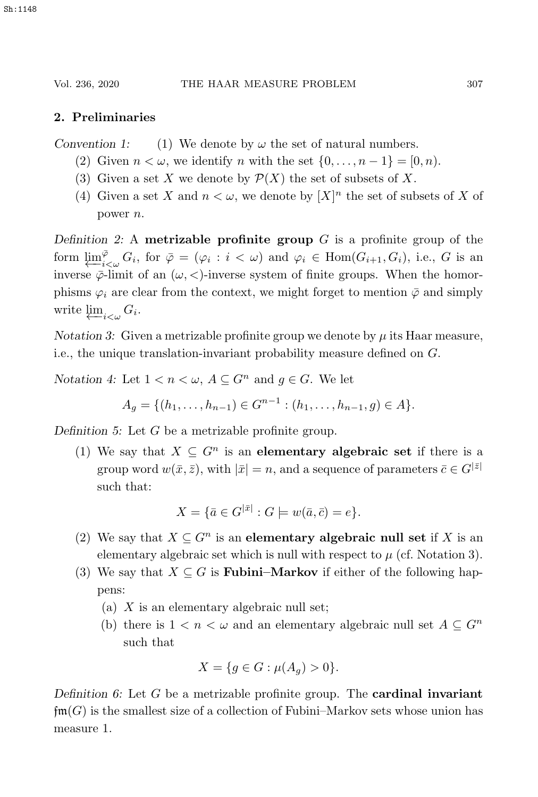# **2. Preliminaries**

*Convention 1:* (1) We denote by  $\omega$  the set of natural numbers.

- (2) Given  $n < \omega$ , we identify n with the set  $\{0,\ldots,n-1\} = [0,n)$ .
- (3) Given a set X we denote by  $\mathcal{P}(X)$  the set of subsets of X.
- (4) Given a set X and  $n < \omega$ , we denote by  $[X]^n$  the set of subsets of X of power n.

*Definition 2:* <sup>A</sup> **metrizable profinite group** G is a profinite group of the form  $\varprojlim_{i<\omega}^{\bar{\varphi}} G_i$ , for  $\bar{\varphi} = (\varphi_i : i < \omega)$  and  $\varphi_i \in \text{Hom}(G_{i+1}, G_i)$ , i.e., G is an inverse  $\bar{\varphi}$ -limit of an  $(\omega \leq)$ -inverse system of finite groups. When the homorinverse  $\bar{\varphi}$ -limit of an  $(\omega, <)$ -inverse system of finite groups. When the homorphisms  $\varphi_i$  are clear from the context, we might forget to mention  $\bar{\varphi}$  and simply write  $\underline{\lim}_{i\leq\omega}G_i$ .

*Notation 3:* Given a metrizable profinite group we denote by  $\mu$  its Haar measure, i.e., the unique translation-invariant probability measure defined on G.

*Notation 4:* Let  $1 < n < \omega$ ,  $A \subseteq G^n$  and  $g \in G$ . We let

$$
A_g = \{ (h_1, \ldots, h_{n-1}) \in G^{n-1} : (h_1, \ldots, h_{n-1}, g) \in A \}.
$$

*Definition 5:* Let G be a metrizable profinite group.

(1) We say that  $X \subseteq G^n$  is an **elementary algebraic set** if there is a group word  $w(\bar{x}, \bar{z})$ , with  $|\bar{x}| = n$ , and a sequence of parameters  $\bar{c} \in G^{|\bar{z}|}$ such that:

$$
X = \{ \bar{a} \in G^{|\bar{x}|} : G \models w(\bar{a}, \bar{c}) = e \}.
$$

- (2) We say that  $X \subseteq G^n$  is an **elementary algebraic null set** if X is an elementary algebraic set which is null with respect to  $\mu$  (cf. Notation 3).
- (3) We say that  $X \subseteq G$  is **Fubini–Markov** if either of the following happens:
	- (a)  $X$  is an elementary algebraic null set;
	- (b) there is  $1 < n < \omega$  and an elementary algebraic null set  $A \subseteq G^n$ such that

$$
X = \{ g \in G : \mu(A_g) > 0 \}.
$$

*Definition 6:* Let G be a metrizable profinite group. The **cardinal invariant**  $\mathfrak{f}m(G)$  is the smallest size of a collection of Fubini–Markov sets whose union has measure 1.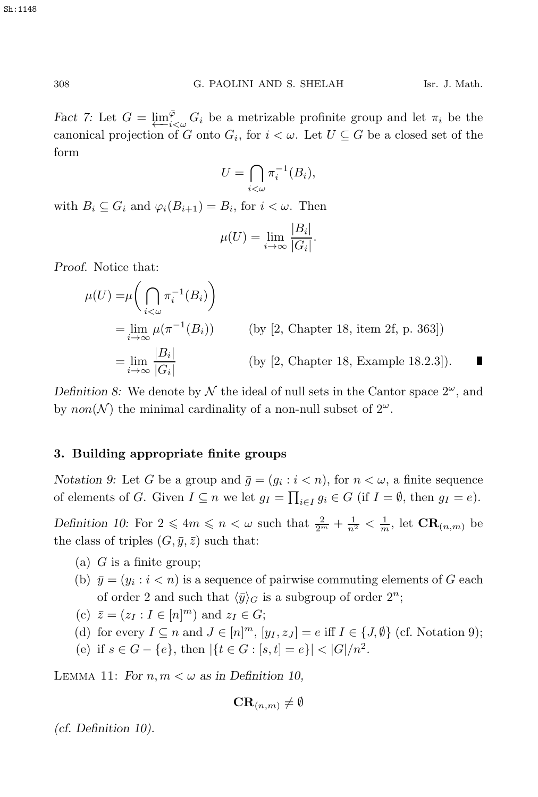*Fact 7:* Let  $G = \varprojlim_{i \leq w}^{\overline{\varphi}} G_i$  be a metrizable profinite group and let  $\pi_i$  be the canonical projection of  $G$  onto  $G_i$  for  $i \leq w$ . Let  $U \subseteq G$  be a closed set of the canonical projection of G onto  $G_i$ , for  $i < \omega$ . Let  $U \subseteq G$  be a closed set of the form

$$
U = \bigcap_{i < \omega} \pi_i^{-1}(B_i),
$$

with  $B_i \subseteq G_i$  and  $\varphi_i(B_{i+1}) = B_i$ , for  $i < \omega$ . Then

$$
\mu(U) = \lim_{i \to \infty} \frac{|B_i|}{|G_i|}.
$$

*Proof.* Notice that:

$$
\mu(U) = \mu \left( \bigcap_{i < \omega} \pi_i^{-1}(B_i) \right)
$$
\n
$$
= \lim_{i \to \infty} \mu(\pi^{-1}(B_i)) \qquad \text{(by [2, Chapter 18, item 2f, p. 363])}
$$
\n
$$
= \lim_{i \to \infty} \frac{|B_i|}{|G_i|} \qquad \text{(by [2, Chapter 18, Example 18.2.3]).} \blacksquare
$$

*Definition 8:* We denote by  $N$  the ideal of null sets in the Cantor space  $2^{\omega}$ , and by non(N) the minimal cardinality of a non-null subset of  $2^{\omega}$ .

#### **3. Building appropriate finite groups**

*Notation 9:* Let G be a group and  $\bar{g} = (g_i : i < n)$ , for  $n < \omega$ , a finite sequence of elements of G. Given  $I \subseteq n$  we let  $g_I = \prod_{i \in I} g_i \in G$  (if  $I = \emptyset$ , then  $g_I = e$ ).

*Definition 10:* For  $2 \leq 4m \leq n < \omega$  such that  $\frac{2}{2^m} + \frac{1}{n^2} < \frac{1}{m}$ , let  $\mathbf{CR}_{(n,m)}$  be the class of triples  $(C \in \mathbb{R})$  such that the class of triples  $(G, \bar{y}, \bar{z})$  such that:

- (a)  $G$  is a finite group;
- (b)  $\bar{y} = (y_i : i < n)$  is a sequence of pairwise commuting elements of G each of order 2 and such that  $\langle \bar{y} \rangle_G$  is a subgroup of order  $2^n$ ;
- (c)  $\bar{z} = (z_I : I \in [n]^m)$  and  $z_I \in G;$ <br>(d) for event  $I \subseteq [n]^m$  is  $I \subseteq [n]^m$
- (d) for every  $I \subseteq n$  and  $J \in [n]^m$ ,  $[y_I, z_J] = e$  iff  $I \in \{J, \emptyset\}$  (cf. Notation 9);
- (e) if  $s \in G \{e\}$ , then  $|\{t \in G : [s, t] = e\}| < |G|/n^2$ .

LEMMA 11: For  $n, m < \omega$  as in Definition 10,

$$
\mathbf{CR}_{(n,m)}\neq\emptyset
$$

*(cf. Definition 10).*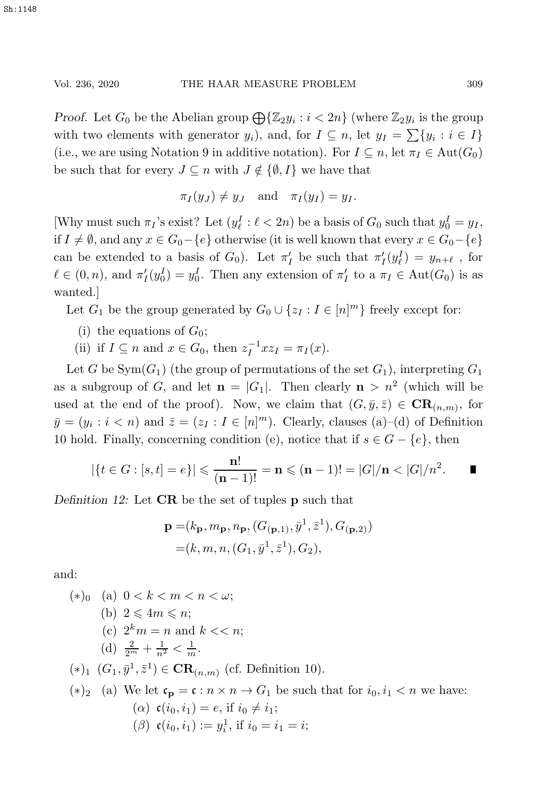*Proof.* Let  $G_0$  be the Abelian group  $\bigoplus {\mathbb{Z}}_2 y_i : i < 2n$  (where  $\mathbb{Z}_2 y_i$  is the group with two elements with generator  $y_i$ , and, for  $I \subseteq n$ , let  $y_I = \sum \{y_i : i \in I\}$ (i.e., we are using Notation 9 in additive notation). For  $I \subseteq n$ , let  $\pi_I \in \text{Aut}(G_0)$ be such that for every  $J \subseteq n$  with  $J \notin {\emptyset, I}$  we have that

$$
\pi_I(y_J) \neq y_J
$$
 and  $\pi_I(y_I) = y_I$ .

[Why must such  $\pi_I$ 's exist? Let  $(y_\ell^I : \ell < 2n)$  be a basis of  $G_0$  such that  $y_0^I = y_I$ , if  $I \neq \emptyset$ , and any  $x \in G_0 - \{e\}$  otherwise (it is well known that every  $x \in G_0 - \{e\}$ can be extended to a basis of  $G_0$ ). Let  $\pi'_I$  be such that  $\pi'_I(y^I_\ell) = y_{n+\ell}$ , for  $\ell \in (0, n)$ , and  $\pi'_I(y_0^I) = y_0^I$ . Then any extension of  $\pi'_I$  to a  $\pi_I \in \text{Aut}(G_0)$  is as wanted.]

Let  $G_1$  be the group generated by  $G_0 \cup \{z_I : I \in [n]^m\}$  freely except for:

- (i) the equations of  $G_0$ ;
- (ii) if  $I \subseteq n$  and  $x \in G_0$ , then  $z_I^{-1} x z_I = \pi_I(x)$ .

Let G be  $Sym(G_1)$  (the group of permutations of the set  $G_1$ ), interpreting  $G_1$ as a subgroup of G, and let  $\mathbf{n} = |G_1|$ . Then clearly  $\mathbf{n} > n^2$  (which will be used at the end of the proof). Now, we claim that  $(G, \bar{y}, \bar{z}) \in \mathbf{CR}_{(n,m)}$ , for  $\bar{y} = (y_i : i < n)$  and  $\bar{z} = (z_I : I \in [n]^m)$ . Clearly, clauses (a)–(d) of Definition 10 hold. Finally, concerning condition (e), notice that if  $s \in G - \{e\}$ , then

$$
|\{t \in G : [s, t] = e\}| \leq \frac{n!}{(n-1)!} = n \leq (n-1)! = |G|/n < |G|/n^2.
$$

*Definition 12:* Let **CR** be the set of tuples **p** such that

$$
\mathbf{p} = (k_{\mathbf{p}}, m_{\mathbf{p}}, n_{\mathbf{p}}, (G_{(\mathbf{p},1)}, \bar{y}^1, \bar{z}^1), G_{(\mathbf{p},2)})
$$
  
=  $(k, m, n, (G_1, \bar{y}^1, \bar{z}^1), G_2),$ 

and:

\n- (\*)
$$
0
$$
 (a)  $0 < k < m < n < \omega$ ;
\n- (b)  $2 \leq 4m \leq n$ ;
\n- (c)  $2^k m = n$  and  $k < n$ ;
\n- (d)  $\frac{2}{2^m} + \frac{1}{n^2} < \frac{1}{m}$ .
\n- (\*) $1$   $(G_1, \bar{y}^1, \bar{z}^1) \in \mathbf{CR}_{(n,m)}$  (cf. Definition 10).
\n- (\*) $2$  (a) We let  $\mathfrak{c}_p = \mathfrak{c} : n \times n \to G_1$  be such that for  $i_0, i_1 < n$  we have:\n
	\n- ( $\alpha$ )  $\mathfrak{c}(i_0, i_1) = e$ , if  $i_0 \neq i_1$ ;
	\n- ( $\beta$ )  $\mathfrak{c}(i_0, i_1) := y_i^1$ , if  $i_0 = i_1 = i$ ;
	\n\n
\n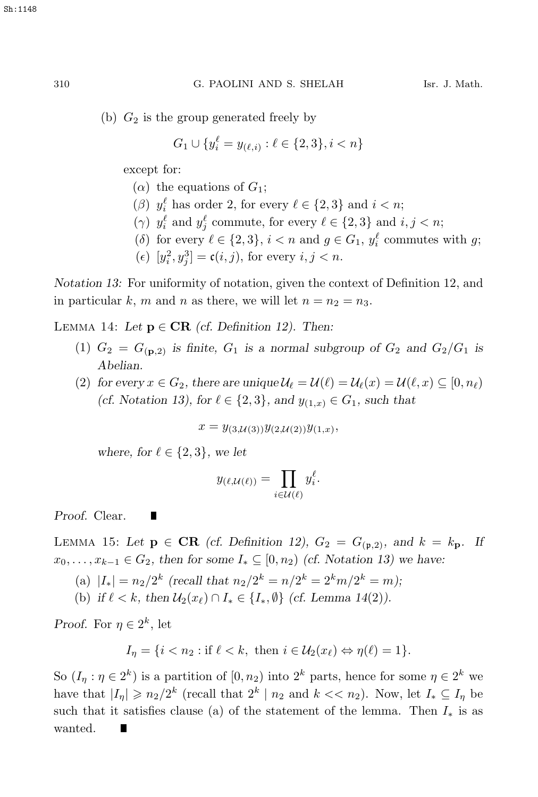(b)  $G_2$  is the group generated freely by

$$
G_1 \cup \{y_i^{\ell} = y_{(\ell,i)} : \ell \in \{2,3\}, i < n\}
$$

except for:

- ( $\alpha$ ) the equations of  $G_1$ ;
- (β)  $y_i^{\ell}$  has order 2, for every  $\ell \in \{2,3\}$  and  $i < n$ ;<br>(i)  $x_i^{\ell}$  and  $x_i^{\ell}$  expresses for every  $\ell \in \{2,3\}$  and  $i$
- (γ)  $y_i^{\ell}$  and  $y_j^{\ell}$  commute, for every  $\ell \in \{2,3\}$  and  $i, j < n$ ;<br>(δ) for every  $\ell \in \{9, 3\}$ , i.  $\ell$  is and  $i \in C$ , i.  $\ell$  expression
- (δ) for every  $\ell \in \{2,3\}$ ,  $i < n$  and  $g \in G_1$ ,  $y_i^{\ell}$  commutes with g;
- (*e*)  $[y_i^2, y_j^3] = \mathfrak{c}(i, j)$ , for every  $i, j < n$ .

*Notation 13:* For uniformity of notation, given the context of Definition 12, and in particular k, m and n as there, we will let  $n = n_2 = n_3$ .

LEMMA 14: Let  $p \in \text{CR}$  *(cf. Definition 12). Then:* 

- (1)  $G_2 = G_{(\mathbf{p},2)}$  *is finite,*  $G_1$  *is a normal subgroup of*  $G_2$  *and*  $G_2/G_1$  *is Abelian.*
- (2) *for every*  $x \in G_2$ *, there are unique*  $\mathcal{U}_{\ell} = \mathcal{U}(\ell) = \mathcal{U}_{\ell}(x) = \mathcal{U}(\ell, x) \subseteq [0, n_{\ell})$ (*cf.* Notation 13), for  $\ell \in \{2,3\}$ , and  $y_{(1,x)} \in G_1$ , such that

$$
x = y_{(3,\mathcal{U}(3))} y_{(2,\mathcal{U}(2))} y_{(1,x)},
$$

*where, for*  $\ell \in \{2, 3\}$ *, we let* 

П

$$
y_{(\ell,\mathcal{U}(\ell))} = \prod_{i \in \mathcal{U}(\ell)} y_i^{\ell}.
$$

*Proof.* Clear.

LEMMA 15: Let  $p \in \text{CR}$  (cf. Definition 12),  $G_2 = G_{(p,2)}$ , and  $k = k_p$ . If  $x_0, \ldots, x_{k-1} \in G_2$ , then for some  $I_* \subseteq [0, n_2)$  *(cf. Notation 13)* we have:

- (a)  $|I_*| = n_2/2^k$  *(recall that*  $n_2/2^k = n/2^k = 2^k m/2^k = m$ *)*;
- (b) if  $\ell < k$ , then  $\mathcal{U}_2(x_\ell) \cap I_* \in \{I_*, \emptyset\}$  (cf. Lemma 14(2)).

*Proof.* For  $\eta \in 2^k$ , let

 $I_n = \{i \leq n_2 : \text{if } \ell \leq k, \text{ then } i \in \mathcal{U}_2(x_\ell) \Leftrightarrow \eta(\ell) = 1\}.$ 

So  $(I_{\eta} : \eta \in 2^k)$  is a partition of  $[0, n_2)$  into  $2^k$  parts, hence for some  $\eta \in 2^k$  we have that  $|I_{\eta}| \geqslant n_2/2^k$  (recall that  $2^k | n_2$  and  $k \lt \lt n_2$ ). Now, let  $I_* \subseteq I_{\eta}$  be such that it satisfies clause (a) of the statement of the lemma. Then  $I_*$  is as wanted.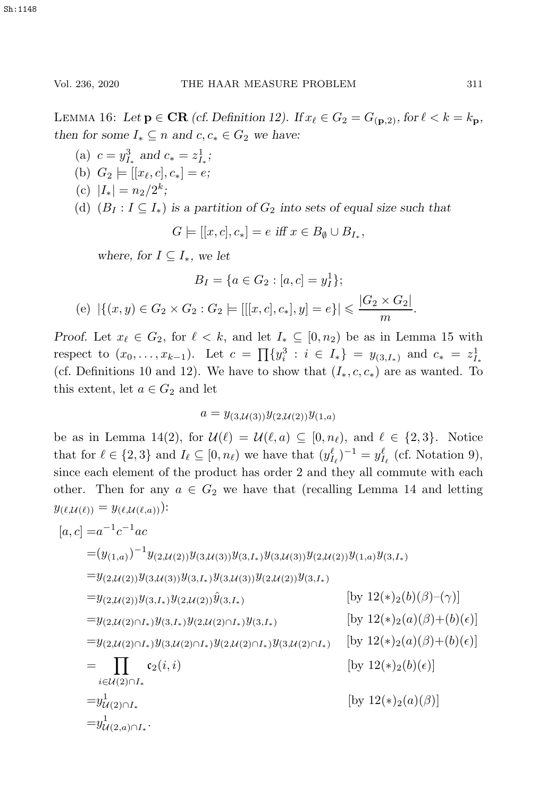LEMMA 16: Let  $\mathbf{p} \in \mathbf{CR}$  *(cf. Definition 12).* If  $x_{\ell} \in G_2 = G_{(\mathbf{p},2)}$ *, for*  $\ell < k = k_{\mathbf{p}}$ *, then for some*  $I_* \subseteq n$  *and*  $c, c_* \in G_2$  *we have:* 

- (a)  $c = y_{I_*}^3$  and  $c_* = z_{I_*}^1$ ; (b)  $G_2 \models [[x_{\ell}, c], c_*] = e;$ (c)  $|I_*| = n_2/2^k$ ;
- 
- (d)  $(B_I : I \subseteq I_*)$  *is a partition of*  $G_2$  *into sets of equal size such that*

$$
G \models [[x, c], c_*] = e \text{ iff } x \in B_{\emptyset} \cup B_{I_*},
$$

*where, for*  $I \subseteq I_*$ *, we let* 

$$
B_I = \{a \in G_2 : [a, c] = y_I^1\};
$$
  
(e)  $|\{(x, y) \in G_2 \times G_2 : G_2 \models [[[x, c], c_*], y] = e\}| \leq \frac{|G_2 \times G_2|}{m}.$ 

*Proof.* Let  $x_{\ell} \in G_2$ , for  $\ell < k$ , and let  $I_* \subseteq [0, n_2)$  be as in Lemma 15 with respect to  $(x_0, \ldots, x_{k-1})$ . Let  $c = \prod_{i} \{y_i^3 : i \in I_*\} = y_{(3,I_*)}$  and  $c_* = z_i^1$ <br>(of Definitions 10 and 12). We have to ghang that  $(I_{n,2,0})$  are as wound T (cf. Definitions 10 and 12). We have to show that  $(I_*, c, c_*)$  are as wanted. To this extent, let  $a \in G_2$  and let

$$
a=y_{(3,\mathcal{U}(3))}y_{(2,\mathcal{U}(2))}y_{(1,a)}
$$

be as in Lemma 14(2), for  $\mathcal{U}(\ell) = \mathcal{U}(\ell, a) \subseteq [0, n_{\ell})$ , and  $\ell \in \{2, 3\}$ . Notice that for  $\ell \in \{2,3\}$  and  $I_{\ell} \subseteq [0,n_{\ell})$  we have that  $(y_{I_{\ell}}^{\ell})^{-1} = y_{I_{\ell}}^{\ell}$  (cf. Notation 9), since each element of the product has order 2 and they all commute with each other. Then for any  $a \in G_2$  we have that (recalling Lemma 14 and letting  $y_{(\ell,\mathcal{U}(\ell))} = y_{(\ell,\mathcal{U}(\ell,a))})$ :

$$
[a, c] = a^{-1}c^{-1}ac
$$
  
\n
$$
= (y_{(1,a)})^{-1}y_{(2,\mathcal{U}(2))}y_{(3,\mathcal{U}(3))}y_{(3,I_*)}y_{(3,\mathcal{U}(3))}y_{(2,\mathcal{U}(2))}y_{(1,a)}y_{(3,I_*)}
$$
  
\n
$$
= y_{(2,\mathcal{U}(2))}y_{(3,\mathcal{U}(3))}y_{(3,I_*)}y_{(3,\mathcal{U}(3))}y_{(2,\mathcal{U}(2))}y_{(3,I_*)}
$$
  
\n
$$
= y_{(2,\mathcal{U}(2))}y_{(3,I_*)}y_{(2,\mathcal{U}(2))}\hat{y}_{(3,I_*)}
$$
  
\n
$$
= y_{(2,\mathcal{U}(2)\cap I_*)}y_{(3,I_*)}y_{(2,\mathcal{U}(2)\cap I_*)}y_{(3,I_*)}
$$
  
\n
$$
= y_{(2,\mathcal{U}(2)\cap I_*)}y_{(3,\mathcal{U}(2)\cap I_*)}y_{(2,\mathcal{U}(2)\cap I_*)}y_{(3,\mathcal{U}(2)\cap I_*)}
$$
  
\n
$$
= \prod_{i\in\mathcal{U}(2)\cap I_*}c_2(i,i)
$$
  
\n
$$
= y_{\mathcal{U}(2)\cap I_*}^1
$$
  
\n
$$
= y_{\mathcal{U}(2)\cap I_*}^1
$$
  
\n
$$
= y_{\mathcal{U}(2)\cap I_*}^1
$$
  
\n
$$
= y_{\mathcal{U}(2,\mathcal{U})}^1
$$
  
\n
$$
= y_{\mathcal{U}(2,\mathcal{U})}^1
$$
  
\n
$$
= y_{\mathcal{U}(2,\mathcal{U})}^1
$$
  
\n
$$
= y_{\mathcal{U}(2,\mathcal{U})}^1
$$
  
\n
$$
= y_{\mathcal{U}(2,\mathcal{U})}^1
$$
  
\n
$$
= y_{\mathcal{U}(2,\mathcal{U})}^1
$$
  
\n
$$
= y_{\mathcal{U}(2,\mathcal{U})}^1
$$
  
\n
$$
= y_{\mathcal{U}(2,\mathcal{U})}^
$$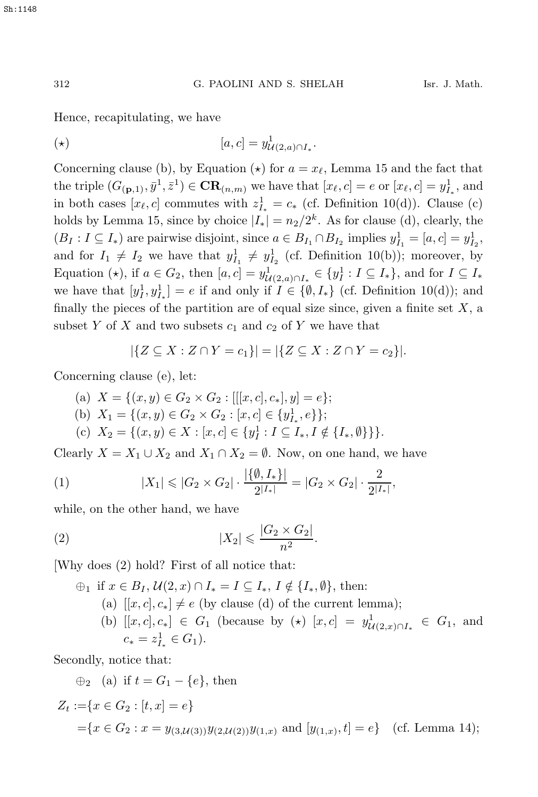Hence, recapitulating, we have

$$
[\star] \qquad \qquad [a,c] = y_{\mathcal{U}(2,a)\cap I_*}^1.
$$

Concerning clause (b), by Equation ( $\star$ ) for  $a = x_{\ell}$ , Lemma 15 and the fact that the triple  $(G_{(p,1)}, \bar{y}^1, \bar{z}^1) \in \mathbf{CR}_{(n,m)}$  we have that  $[x_\ell, c] = e$  or  $[x_\ell, c] = y_{I_*}^1$ , and in both cases  $[x_\ell, c]$  commutes with  $z_{I_*}^1 = c_*$  (cf. Definition 10(d)). Clause (c) holds by Lemma 15, since by choice  $|I_*| = n_2/2^k$ . As for clause (d), clearly, the  $(B_I : I \subseteq I_*)$  are pairwise disjoint, since  $a \in B_{I_1} \cap B_{I_2}$  implies  $y_{I_1}^1 = [a, c] = y_{I_2}^1$ , and for  $I_1 \neq I_2$  we have that  $y_{I_1}^1 \neq y_{I_2}^1$  (cf. Definition 10(b)); moreover, by Equation ( $\star$ ), if  $a \in G_2$ , then  $[a, c] = y_{\mathcal{U}(2, a) \cap I_*}^1 \in \{y_I^1 : I \subseteq I_*\}$ , and for  $I \subseteq I_*$ <br>we have that  $[a, b]$  all  $[a, b]$  and only if  $I \subseteq (a, I)$  (of Definition 10(d)); and we have that  $[y^1_I, y^1_I] = e$  if and only if  $I \in \{\emptyset, I_*\}$  (cf. Definition 10(d)); and finally the pieces of the partition are of equal size since, given a finite set  $X$ , a subset Y of X and two subsets  $c_1$  and  $c_2$  of Y we have that

$$
|\{Z \subseteq X : Z \cap Y = c_1\}| = |\{Z \subseteq X : Z \cap Y = c_2\}|.
$$

Concerning clause (e), let:

(a)  $X = \{(x, y) \in G_2 \times G_2 : [[[x, c], c_*], y] = e\};\$ (b)  $X_1 = \{(x, y) \in G_2 \times G_2 : [x, c] \in \{y\},\}$ ; (c)  $X_2 = \{(x, y) \in X : [x, c] \in \{y_I^1 : I \subseteq I_*, I \notin \{I_*, \emptyset\}\}\}.$ 

Clearly  $X = X_1 \cup X_2$  and  $X_1 \cap X_2 = \emptyset$ . Now, on one hand, we have

(1) 
$$
|X_1| \leq |G_2 \times G_2| \cdot \frac{|\{\emptyset, I_*\}|}{2^{|I_*|}} = |G_2 \times G_2| \cdot \frac{2}{2^{|I_*|}},
$$

while, on the other hand, we have

(2) 
$$
|X_2| \le \frac{|G_2 \times G_2|}{n^2}
$$
.

[Why does (2) hold? First of all notice that:

$$
\oplus_1 \text{ if } x \in B_I, \ U(2, x) \cap I_* = I \subseteq I_*, \ I \notin \{I_*, \emptyset\}, \text{ then:}
$$
\n
$$
\text{(a) } [[x, c], c_*] \neq e \text{ (by clause (d) of the current lemma);}
$$
\n
$$
\text{(b) } [[x, c], c_*] \in G_1 \text{ (because by } (\star) [x, c] = y_{U(2, x) \cap I_*}^1 \in G_1, \text{ and }
$$
\n
$$
c_* = z_{I_*}^1 \in G_1 \text{)}.
$$

Secondly, notice that:

$$
\oplus_2 \quad (a) \text{ if } t = G_1 - \{e\}, \text{ then}
$$
\n
$$
Z_t := \{x \in G_2 : [t, x] = e\}
$$
\n
$$
= \{x \in G_2 : x = y_{(3,\mathcal{U}(3))} y_{(2,\mathcal{U}(2))} y_{(1,x)} \text{ and } [y_{(1,x)}, t] = e\} \quad \text{(cf. Lemma 14)};
$$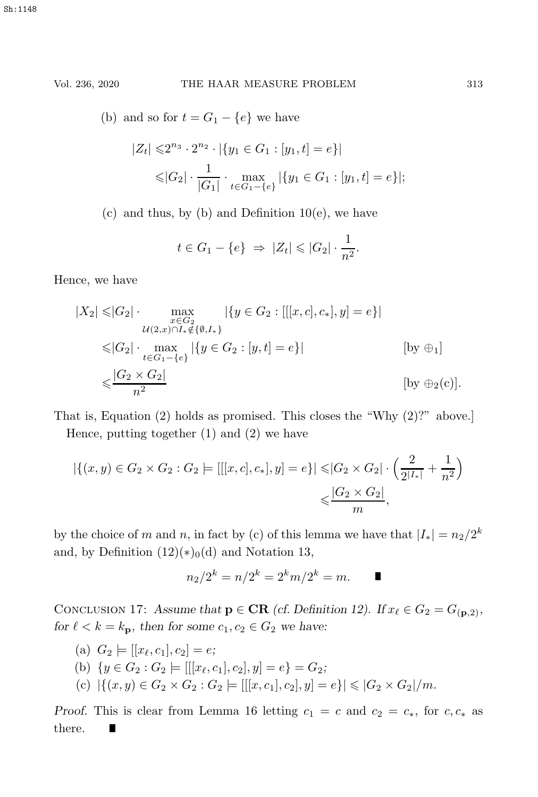(b) and so for  $t = G_1 - \{e\}$  we have

$$
|Z_t| \leq 2^{n_3} \cdot 2^{n_2} \cdot |\{y_1 \in G_1 : [y_1, t] = e\}|
$$
  

$$
\leq |G_2| \cdot \frac{1}{|G_1|} \cdot \max_{t \in G_1 - \{e\}} |\{y_1 \in G_1 : [y_1, t] = e\}|;
$$

 $(c)$  and thus, by  $(b)$  and Definition 10 $(e)$ , we have

$$
t \in G_1 - \{e\} \Rightarrow |Z_t| \leq |G_2| \cdot \frac{1}{n^2}.
$$

Hence, we have

$$
|X_2| \leq |G_2| \cdot \max_{\substack{x \in G_2 \\ u(2,x) \cap I_* \notin \{0, I_*\}}} |\{y \in G_2 : [[x, c], c_*], y] = e\}|
$$
  

$$
\leq |G_2| \cdot \max_{t \in G_1 - \{e\}} |\{y \in G_2 : [y, t] = e\}|
$$
 [by  $\oplus_1$ ]  

$$
\leq \frac{|G_2 \times G_2|}{n^2}
$$
 [by  $\oplus_2$ (c)].

That is, Equation (2) holds as promised. This closes the "Why (2)?" above.] Hence, putting together (1) and (2) we have

$$
|\{(x,y)\in G_2\times G_2: G_2 \models [[[x,c],c_*],y] = e\}| \leq |G_2 \times G_2| \cdot \left(\frac{2}{2^{|I_*|}} + \frac{1}{n^2}\right) \leq \frac{|G_2 \times G_2|}{m},
$$

by the choice of m and n, in fact by (c) of this lemma we have that  $|I_*| = n_2/2^k$ and, by Definition  $(12)(*)_0(d)$  and Notation 13,

$$
n_2/2^k = n/2^k = 2^k m/2^k = m.
$$

CONCLUSION 17: Assume that  $p \in \text{CR}$  *(cf. Definition 12).* If  $x_{\ell} \in G_2 = G_{(p,2)}$ *, for*  $\ell < k = k_p$ *, then for some*  $c_1, c_2 \in G_2$  *we have:* 

(a) 
$$
G_2 \models [[x_\ell, c_1], c_2] = e;
$$

- (b)  $\{y \in G_2 : G_2 \models [[x_\ell, c_1], c_2], y] = e\} = G_2;$
- (c)  $|\{(x,y)\in G_2\times G_2: G_2 \models [[[x,c_1],c_2],y]=e\}| \leq |G_2\times G_2|/m.$

*Proof.* This is clear from Lemma 16 letting  $c_1 = c$  and  $c_2 = c_*,$  for  $c, c_*$  as there. there.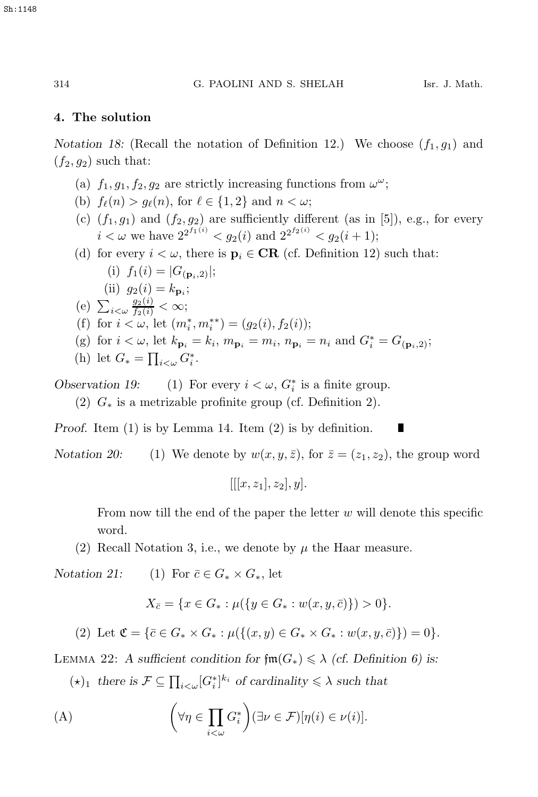L

#### **4. The solution**

*Notation 18:* (Recall the notation of Definition 12.) We choose  $(f_1, g_1)$  and  $(f_2, g_2)$  such that:

- (a)  $f_1, g_1, f_2, g_2$  are strictly increasing functions from  $\omega^{\omega}$ ;
- (b)  $f_{\ell}(n) > g_{\ell}(n)$ , for  $\ell \in \{1,2\}$  and  $n < \omega$ ;
- (c)  $(f_1, g_1)$  and  $(f_2, g_2)$  are sufficiently different (as in [5]), e.g., for every  $i < \omega$  we have  $2^{2^{f_1(i)}} < g_2(i)$  and  $2^{2^{f_2(i)}} < g_2(i+1);$
- (d) for every  $i < \omega$ , there is  $\mathbf{p}_i \in \mathbf{CR}$  (cf. Definition 12) such that: (i)  $f_1(i) = |G_{(\mathbf{p}_i,2)}|;$ (ii)  $g_2(i) = k_{\mathbf{p}_i}$ ;<br>
(e)  $\sum_{i < \omega} \frac{g_2(i)}{f_2(i)} < \infty$ ;<br>
(f) for  $i \leq \omega$  let  $\langle \infty \rangle$ (f) for  $i < \omega$ , let  $(m_i^*, m_i^{**}) = (g_2(i), f_2(i));$ (g) for  $i < \omega$ , let  $k_{\mathbf{p}_i} = k_i$ ,  $m_{\mathbf{p}_i} = m_i$ ,  $n_{\mathbf{p}_i} = n_i$  and  $G_i^* = G_{(\mathbf{p}_i,2)}$ ; (h) let  $G_* = \prod_{i<\omega} G_i^*$ .

Observation 19: (1) For every  $i < \omega$ ,  $G_i^*$  is a finite group.<br>(2)  $G_i$  is a matricelar profession group (cf. Definition 2).

(2)  $G_*$  is a metrizable profinite group (cf. Definition 2).

*Proof.* Item (1) is by Lemma 14. Item (2) is by definition.

*Notation 20:* (1) We denote by  $w(x, y, \bar{z})$ , for  $\bar{z} = (z_1, z_2)$ , the group word

 $[[[x, z_1], z_2], y].$ 

From now till the end of the paper the letter  $w$  will denote this specific word.

(2) Recall Notation 3, i.e., we denote by  $\mu$  the Haar measure.

*Notation 21:* (1) For  $\overline{c} \in G_* \times G_*$ , let

$$
X_{\bar{c}} = \{ x \in G_* : \mu(\{ y \in G_* : w(x, y, \bar{c}) \}) > 0 \}.
$$

(2) Let  $\mathfrak{C} = {\bar{c} \in G_* \times G_* : \mu({\bar{a}(x,y) \in G_* \times G_* : w(x,y,\bar{c})}) = 0}.$ 

LEMMA 22: *A* sufficient condition for  $\text{fm}(G_*) \leq \lambda$  (cf. Definition 6) is:

 $(\star)_1$  there is  $\mathcal{F} \subseteq \prod_{i < \omega} [G_i^*]^{k_i}$  of cardinality  $\leq \lambda$  such that

(A) 
$$
\left(\forall \eta \in \prod_{i < \omega} G_i^*\right) (\exists \nu \in \mathcal{F})[\eta(i) \in \nu(i)].
$$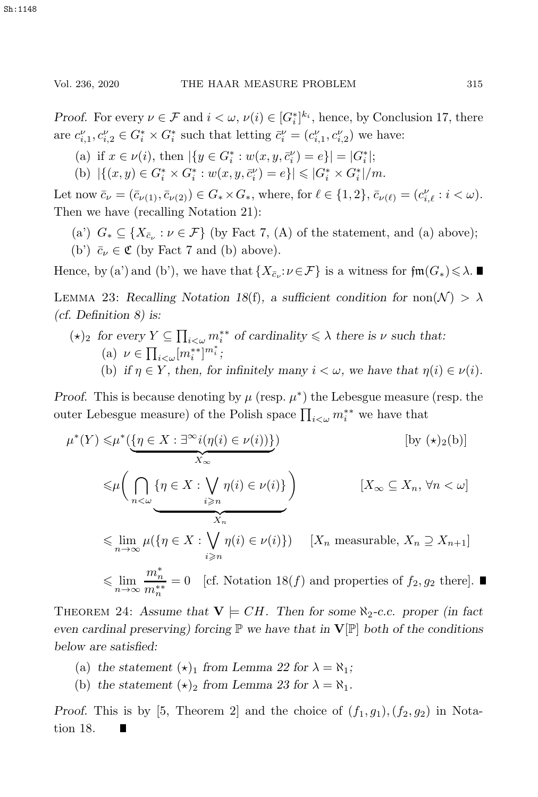*Proof.* For every  $\nu \in \mathcal{F}$  and  $i < \omega$ ,  $\nu(i) \in [G_i^*]^{k_i}$ , hence, by Conclusion 17, there are  $c'_{i,1}, c''_{i,2} \in G_i^* \times G_i^*$  such that letting  $\bar{c}'_i = (c''_{i,1}, c''_{i,2})$  we have:

- (a) if  $x \in \nu(i)$ , then  $|\{y \in G_i^* : w(x, y, \bar{c}_i^{\nu}) = e\}| = |G_i^*|$ ;<br>(b)  $|f(x, y) \in G^* \times G^*$ ,  $w(x, y, \bar{c}_i^{\nu}) = e| \leq |G^* \times G^*|$
- (b)  $|\{(x,y)\in G_i^* \times G_i^* : w(x,y,\bar{c}_i^{\nu})=e\}| \leqslant |G_i^* \times G_i^*|/m.$

Let now  $\bar{c}_{\nu} = (\bar{c}_{\nu(1)}, \bar{c}_{\nu(2)}) \in G_* \times G_*$ , where, for  $\ell \in \{1, 2\}$ ,  $\bar{c}_{\nu(\ell)} = (c_{i,\ell}^{\nu} : i < \omega)$ .<br>Then we have (recalling Matation 21). Then we have (recalling Notation 21):

- (a')  $G_* \subseteq \{X_{\bar{c}_\nu} : \nu \in \mathcal{F}\}\$  (by Fact 7, (A) of the statement, and (a) above);
- (b')  $\bar{c}_v \in \mathfrak{C}$  (by Fact 7 and (b) above).

Hence, by (a') and (b'), we have that  $\{X_{\bar{c}_\nu}: \nu \in \mathcal{F}\}\)$  is a witness for  $\mathfrak{fm}(G_*) \leq \lambda$ .

LEMMA 23: *Recalling Notation 18(f)*, a sufficient condition for non $(\mathcal{N}) > \lambda$ *(cf. Definition 8) is:*

 $(\star)_2$  *for every*  $Y \subseteq \prod_{i < \omega} m_i^{**}$  *of cardinality*  $\leq \lambda$  *there is*  $\nu$  *such that:* (a)  $\nu \in \prod_{i < \omega} [m_i^{**}]^{m_i^{*}};$ <br>(b) if  $\in \mathbb{C}$  is then for (b) if  $\eta \in Y$ , then, for infinitely many  $i < \omega$ , we have that  $\eta(i) \in \nu(i)$ .

*Proof.* This is because denoting by  $\mu$  (resp.  $\mu^*$ ) the Lebesgue measure (resp. the outer Lebesgue measure) of the Polish space  $\prod_{i<\omega}m_i^{**}$  we have that

$$
\mu^*(Y) \leq \mu^* \left( \underbrace{\{\eta \in X : \exists^{\infty} i(\eta(i) \in \nu(i))\}}_{X_{\infty}} \right)
$$
\n
$$
\leq \mu \left( \bigcap_{n < \omega} \{ \eta \in X : \bigvee_{i \geq n} \eta(i) \in \nu(i) \} \right)
$$
\n
$$
\left[ X_{\infty} \subseteq X_n, \forall n < \omega \right]
$$
\n
$$
\leq \lim_{n \to \infty} \mu(\{\eta \in X : \bigvee_{i \geq n} \eta(i) \in \nu(i)\})
$$
\n
$$
\left[ X_{\infty} \subseteq X_n, \forall n < \omega \right]
$$
\n
$$
\leq \lim_{n \to \infty} \frac{\lambda^n}{\lambda^n} = 0 \quad \text{[cf. Notation 18(f) and properties of } f_2, g_2 \text{ there}].
$$

THEOREM 24: Assume that  $V \models CH$ . Then for some  $\aleph_2$ -c.c. proper (in fact *even cardinal preserving) forcing* P *we have that in* **V**[P] *both of the conditions below are satisfied:*

- (a) the statement  $(\star)_1$  from Lemma 22 for  $\lambda = \aleph_1$ ;
- (b) the statement  $(\star)_2$  from Lemma 23 for  $\lambda = \aleph_1$ .

*Proof.* This is by [5, Theorem 2] and the choice of  $(f_1, g_1)$ ,  $(f_2, g_2)$  in Notation 18.

 $\blacksquare$